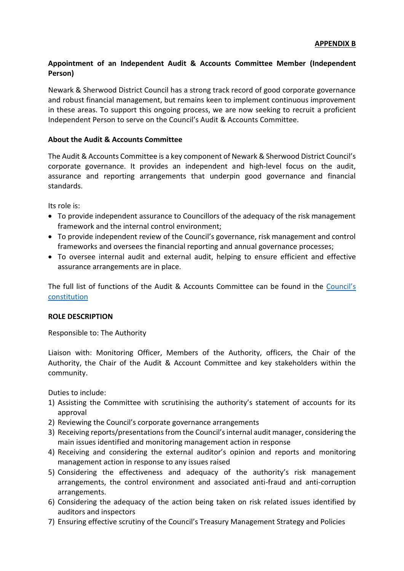# **Appointment of an Independent Audit & Accounts Committee Member (Independent Person)**

Newark & Sherwood District Council has a strong track record of good corporate governance and robust financial management, but remains keen to implement continuous improvement in these areas. To support this ongoing process, we are now seeking to recruit a proficient Independent Person to serve on the Council's Audit & Accounts Committee.

#### **About the Audit & Accounts Committee**

The Audit & Accounts Committee is a key component of Newark & Sherwood District Council's corporate governance. It provides an independent and high-level focus on the audit, assurance and reporting arrangements that underpin good governance and financial standards.

Its role is:

- To provide independent assurance to Councillors of the adequacy of the risk management framework and the internal control environment;
- To provide independent review of the Council's governance, risk management and control frameworks and oversees the financial reporting and annual governance processes;
- To oversee internal audit and external audit, helping to ensure efficient and effective assurance arrangements are in place.

The full list of functions of the Audit & Accounts Committee can be found in the [Council's](https://www.newark-sherwooddc.gov.uk/constitution/)  [constitution](https://www.newark-sherwooddc.gov.uk/constitution/)

#### **ROLE DESCRIPTION**

Responsible to: The Authority

Liaison with: Monitoring Officer, Members of the Authority, officers, the Chair of the Authority, the Chair of the Audit & Account Committee and key stakeholders within the community.

Duties to include:

- 1) Assisting the Committee with scrutinising the authority's statement of accounts for its approval
- 2) Reviewing the Council's corporate governance arrangements
- 3) Receiving reports/presentations from the Council's internal audit manager, considering the main issues identified and monitoring management action in response
- 4) Receiving and considering the external auditor's opinion and reports and monitoring management action in response to any issues raised
- 5) Considering the effectiveness and adequacy of the authority's risk management arrangements, the control environment and associated anti-fraud and anti-corruption arrangements.
- 6) Considering the adequacy of the action being taken on risk related issues identified by auditors and inspectors
- 7) Ensuring effective scrutiny of the Council's Treasury Management Strategy and Policies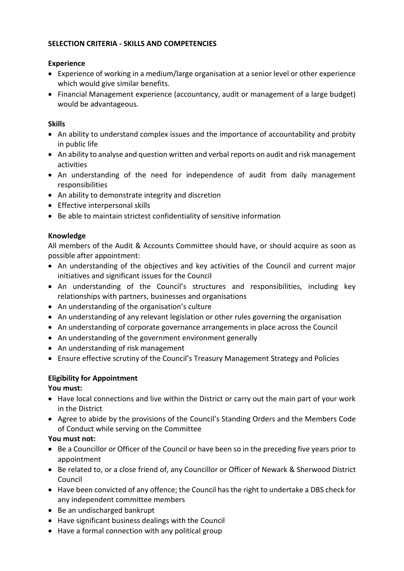# **SELECTION CRITERIA - SKILLS AND COMPETENCIES**

### **Experience**

- Experience of working in a medium/large organisation at a senior level or other experience which would give similar benefits.
- Financial Management experience (accountancy, audit or management of a large budget) would be advantageous.

### **Skills**

- An ability to understand complex issues and the importance of accountability and probity in public life
- An ability to analyse and question written and verbal reports on audit and risk management activities
- An understanding of the need for independence of audit from daily management responsibilities
- An ability to demonstrate integrity and discretion
- Effective interpersonal skills
- Be able to maintain strictest confidentiality of sensitive information

## **Knowledge**

All members of the Audit & Accounts Committee should have, or should acquire as soon as possible after appointment:

- An understanding of the objectives and key activities of the Council and current major initiatives and significant issues for the Council
- An understanding of the Council's structures and responsibilities, including key relationships with partners, businesses and organisations
- An understanding of the organisation's culture
- An understanding of any relevant legislation or other rules governing the organisation
- An understanding of corporate governance arrangements in place across the Council
- An understanding of the government environment generally
- An understanding of risk management
- Ensure effective scrutiny of the Council's Treasury Management Strategy and Policies

## **Eligibility for Appointment**

## **You must:**

- Have local connections and live within the District or carry out the main part of your work in the District
- Agree to abide by the provisions of the Council's Standing Orders and the Members Code of Conduct while serving on the Committee

## **You must not:**

- Be a Councillor or Officer of the Council or have been so in the preceding five years prior to appointment
- Be related to, or a close friend of, any Councillor or Officer of Newark & Sherwood District Council
- Have been convicted of any offence; the Council has the right to undertake a DBS check for any independent committee members
- Be an undischarged bankrupt
- Have significant business dealings with the Council
- Have a formal connection with any political group